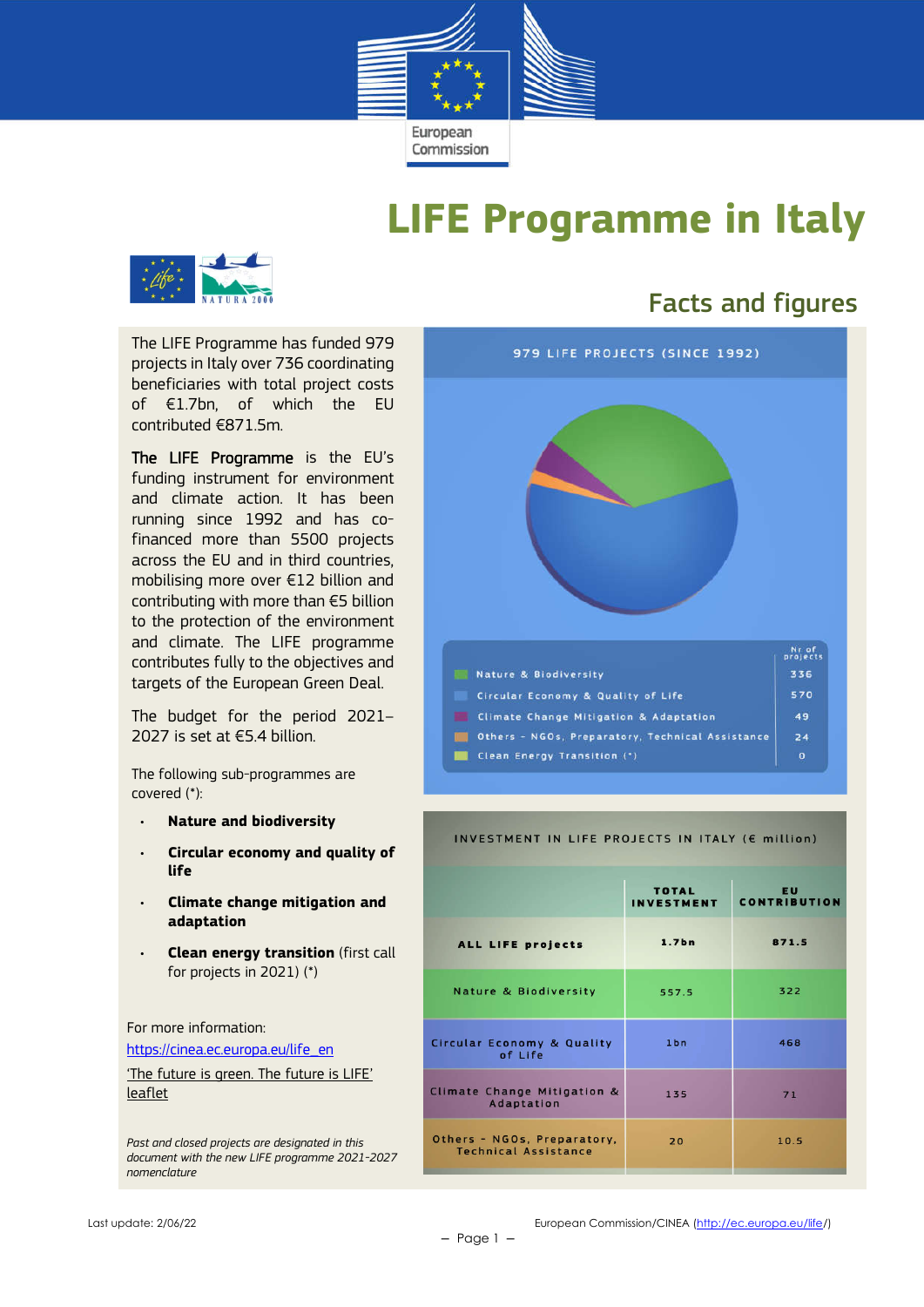

# **LIFE Programme in Italy**



The LIFE Programme has funded 979 projects in Italy over 736 coordinating beneficiaries with total project costs of €1.7bn, of which the EU contributed €871.5m.

The LIFE Programme is the EU's funding instrument for environment and climate action. It has been running since 1992 and has cofinanced more than 5500 projects across the EU and in third countries, mobilising more over €12 billion and contributing with more than €5 billion to the protection of the environment and climate. The LIFE programme contributes fully to the objectives and targets of the European Green Deal.

The budget for the period 2021– 2027 is set at €5.4 billion.

The following sub-programmes are covered (\*):

- **Nature and biodiversity**
- **Circular economy and quality of life**
- **Climate change mitigation and adaptation**
- **Clean energy transition** (first call for projects in 2021) (\*)

For more information:

https://cinea.ec.europa.eu/life\_en

'The future is green. The future is LIFE' leaflet

*Past and closed projects are designated in this document with the new LIFE programme 2021-2027 nomenclature*

## Facts and figures



#### INVESTMENT IN LIFE PROJECTS IN ITALY (E million)

|                                                            | <b>TOTAL</b><br><b>INVESTMENT</b> | <b>EU</b><br><b>CONTRIBUTION</b> |
|------------------------------------------------------------|-----------------------------------|----------------------------------|
| ALL LIFE projects                                          | 1.7 <sub>bn</sub>                 | 871.5                            |
| <b>Nature &amp; Biodiversity</b>                           | 557.5                             | 322                              |
| Circular Economy & Quality<br>of Life                      | 1bn                               | 468                              |
| Climate Change Mitigation &<br>Adaptation                  | 135                               | 71                               |
| Others - NGOs, Preparatory,<br><b>Technical Assistance</b> | 20                                | 10.5                             |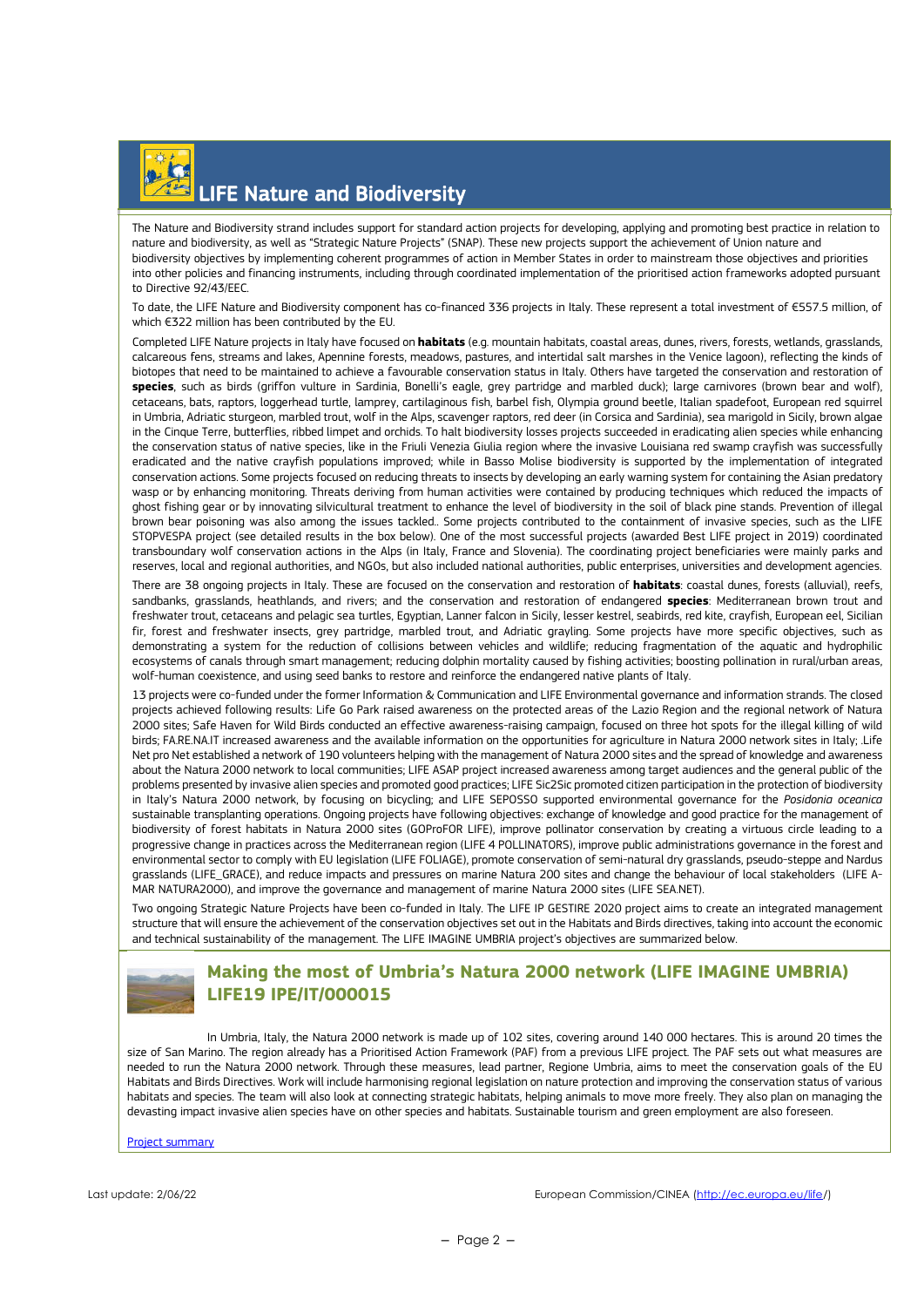# LIFE Nature and Biodiversity

The Nature and Biodiversity strand includes support for standard action projects for developing, applying and promoting best practice in relation to nature and biodiversity, as well as "Strategic Nature Projects" (SNAP). These new projects support the achievement of Union nature and biodiversity objectives by implementing coherent programmes of action in Member States in order to mainstream those objectives and priorities into other policies and financing instruments, including through coordinated implementation of the prioritised action frameworks adopted pursuant to Directive 92/43/EEC.

To date, the LIFE Nature and Biodiversity component has co-financed 336 projects in Italy. These represent a total investment of €557.5 million, of which €322 million has been contributed by the EU.

Completed LIFE Nature projects in Italy have focused on **habitats** (e.g. mountain habitats, coastal areas, dunes, rivers, forests, wetlands, grasslands, calcareous fens, streams and lakes, Apennine forests, meadows, pastures, and intertidal salt marshes in the Venice lagoon), reflecting the kinds of biotopes that need to be maintained to achieve a favourable conservation status in Italy. Others have targeted the conservation and restoration of **species**, such as birds (griffon vulture in Sardinia, Bonelli's eagle, grey partridge and marbled duck); large carnivores (brown bear and wolf), cetaceans, bats, raptors, loggerhead turtle, lamprey, cartilaginous fish, barbel fish, Olympia ground beetle, Italian spadefoot, European red squirrel in Umbria, Adriatic sturgeon, marbled trout, wolf in the Alps, scavenger raptors, red deer (in Corsica and Sardinia), sea marigold in Sicily, brown algae in the Cinque Terre, butterflies, ribbed limpet and orchids. To halt biodiversity losses projects succeeded in eradicating alien species while enhancing the conservation status of native species, like in the Friuli Venezia Giulia region where the invasive Louisiana red swamp crayfish was successfully eradicated and the native crayfish populations improved; while in Basso Molise biodiversity is supported by the implementation of integrated conservation actions. Some projects focused on reducing threats to insects by developing an early warning system for containing the Asian predatory wasp or by enhancing monitoring. Threats deriving from human activities were contained by producing techniques which reduced the impacts of ghost fishing gear or by innovating silvicultural treatment to enhance the level of biodiversity in the soil of black pine stands. Prevention of illegal brown bear poisoning was also among the issues tackled.. Some projects contributed to the containment of invasive species, such as the LIFE STOPVESPA project (see detailed results in the box below). One of the most successful projects (awarded Best LIFE project in 2019) coordinated transboundary wolf conservation actions in the Alps (in Italy, France and Slovenia). The coordinating project beneficiaries were mainly parks and reserves, local and regional authorities, and NGOs, but also included national authorities, public enterprises, universities and development agencies.

There are 38 ongoing projects in Italy. These are focused on the conservation and restoration of **habitats**: coastal dunes, forests (alluvial), reefs, sandbanks, grasslands, heathlands, and rivers; and the conservation and restoration of endangered **species**: Mediterranean brown trout and freshwater trout, cetaceans and pelagic sea turtles, Egyptian, Lanner falcon in Sicily, lesser kestrel, seabirds, red kite, crayfish, European eel, Sicilian fir, forest and freshwater insects, grey partridge, marbled trout, and Adriatic grayling. Some projects have more specific objectives, such as demonstrating a system for the reduction of collisions between vehicles and wildlife; reducing fragmentation of the aquatic and hydrophilic ecosystems of canals through smart management; reducing dolphin mortality caused by fishing activities; boosting pollination in rural/urban areas, wolf-human coexistence, and using seed banks to restore and reinforce the endangered native plants of Italy.

13 projects were co-funded under the former Information & Communication and LIFE Environmental governance and information strands. The closed projects achieved following results: Life Go Park raised awareness on the protected areas of the Lazio Region and the regional network of Natura 2000 sites; Safe Haven for Wild Birds conducted an effective awareness-raising campaign, focused on three hot spots for the illegal killing of wild birds; FA.RE.NA.IT increased awareness and the available information on the opportunities for agriculture in Natura 2000 network sites in Italy; .Life Net pro Net established a network of 190 volunteers helping with the management of Natura 2000 sites and the spread of knowledge and awareness about the Natura 2000 network to local communities; LIFE ASAP project increased awareness among target audiences and the general public of the problems presented by invasive alien species and promoted good practices; LIFE Sic2Sic promoted citizen participation in the protection of biodiversity in Italy's Natura 2000 network, by focusing on bicycling; and LIFE SEPOSSO supported environmental governance for the *Posidonia oceanica* sustainable transplanting operations. Ongoing projects have following objectives: exchange of knowledge and good practice for the management of biodiversity of forest habitats in Natura 2000 sites (GOProFOR LIFE), improve pollinator conservation by creating a virtuous circle leading to a progressive change in practices across the Mediterranean region (LIFE 4 POLLINATORS), improve public administrations governance in the forest and environmental sector to comply with EU legislation (LIFE FOLIAGE), promote conservation of semi-natural dry grasslands, pseudo-steppe and Nardus grasslands (LIFE\_GRACE), and reduce impacts and pressures on marine Natura 200 sites and change the behaviour of local stakeholders (LIFE A-MAR NATURA2000), and improve the governance and management of marine Natura 2000 sites (LIFE SEA.NET).

Two ongoing Strategic Nature Projects have been co-funded in Italy. The LIFE IP GESTIRE 2020 project aims to create an integrated management structure that will ensure the achievement of the conservation objectives set out in the Habitats and Birds directives, taking into account the economic and technical sustainability of the management. The LIFE IMAGINE UMBRIA project's objectives are summarized below.



### **Making the most of Umbria's Natura 2000 network (LIFE IMAGINE UMBRIA) LIFE19 IPE/IT/000015**

In Umbria, Italy, the Natura 2000 network is made up of 102 sites, covering around 140 000 hectares. This is around 20 times the size of San Marino. The region already has a Prioritised Action Framework (PAF) from a previous LIFE project. The PAF sets out what measures are needed to run the Natura 2000 network. Through these measures, lead partner, Regione Umbria, aims to meet the conservation goals of the EU Habitats and Birds Directives. Work will include harmonising regional legislation on nature protection and improving the conservation status of various habitats and species. The team will also look at connecting strategic habitats, helping animals to move more freely. They also plan on managing the devasting impact invasive alien species have on other species and habitats. Sustainable tourism and green employment are also foreseen.

Project summary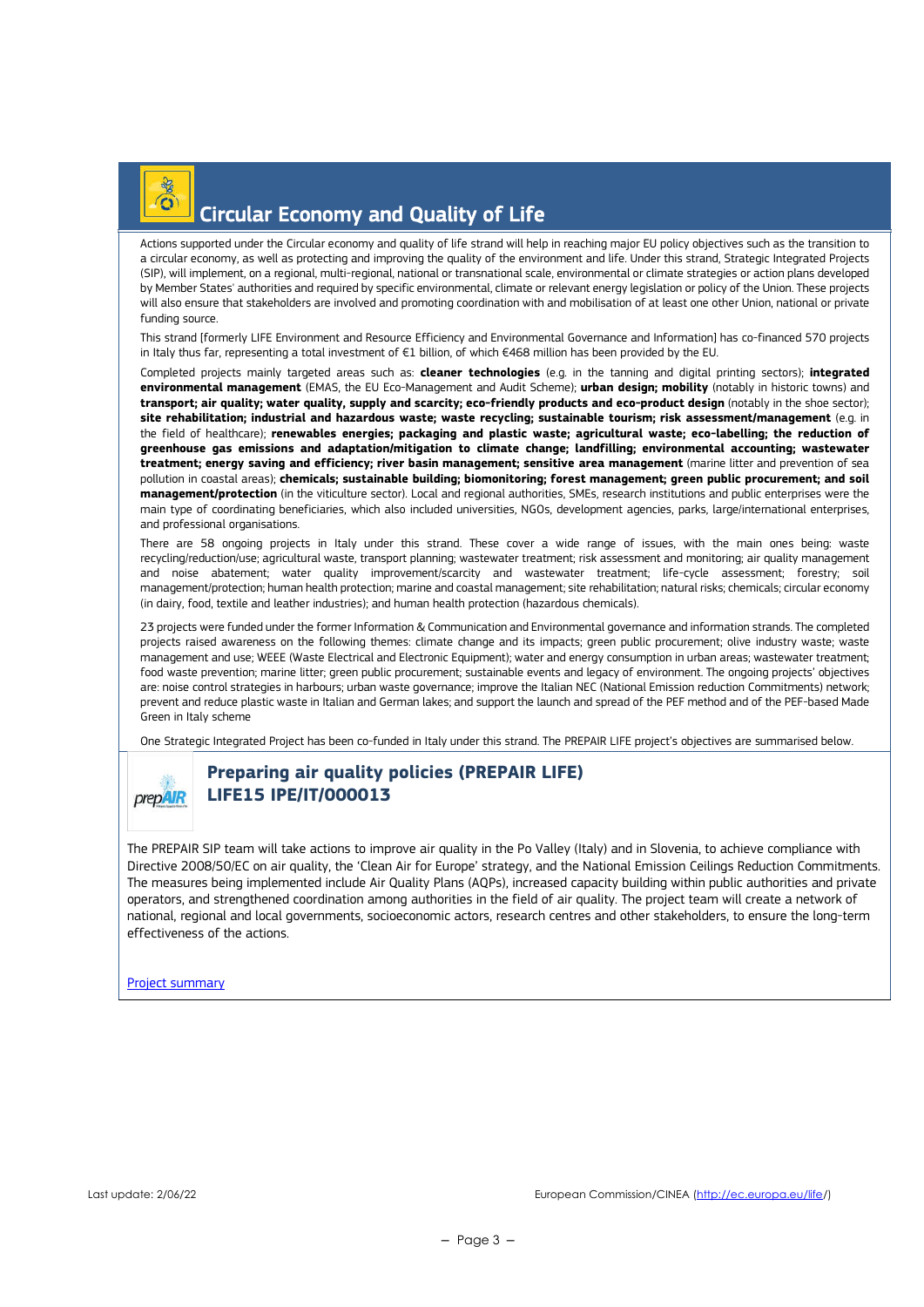

## Circular Economy and Quality of Life

Actions supported under the Circular economy and quality of life strand will help in reaching major EU policy objectives such as the transition to a circular economy, as well as protecting and improving the quality of the environment and life. Under this strand, Strategic Integrated Projects (SIP), will implement, on a regional, multi-regional, national or transnational scale, environmental or climate strategies or action plans developed by Member States' authorities and required by specific environmental, climate or relevant energy legislation or policy of the Union. These projects will also ensure that stakeholders are involved and promoting coordination with and mobilisation of at least one other Union, national or private funding source.

This strand [formerly LIFE Environment and Resource Efficiency and Environmental Governance and Information] has co-financed 570 projects in Italy thus far, representing a total investment of €1 billion, of which €468 million has been provided by the EU.

Completed projects mainly targeted areas such as: **cleaner technologies** (e.g. in the tanning and digital printing sectors); **integrated environmental management** (EMAS, the EU Eco-Management and Audit Scheme); **urban design; mobility** (notably in historic towns) and **transport; air quality; water quality, supply and scarcity; eco-friendly products and eco-product design** (notably in the shoe sector); **site rehabilitation; industrial and hazardous waste; waste recycling; sustainable tourism; risk assessment/management** (e.g. in the field of healthcare); **renewables energies; packaging and plastic waste; agricultural waste; eco-labelling; the reduction of greenhouse gas emissions and adaptation/mitigation to climate change; landfilling; environmental accounting; wastewater treatment; energy saving and efficiency; river basin management; sensitive area management** (marine litter and prevention of sea pollution in coastal areas); **chemicals; sustainable building; biomonitoring; forest management; green public procurement; and soil management/protection** (in the viticulture sector). Local and regional authorities, SMEs, research institutions and public enterprises were the main type of coordinating beneficiaries, which also included universities, NGOs, development agencies, parks, large/international enterprises, and professional organisations.

There are 58 ongoing projects in Italy under this strand. These cover a wide range of issues, with the main ones being: waste recycling/reduction/use; agricultural waste, transport planning; wastewater treatment; risk assessment and monitoring; air quality management and noise abatement; water quality improvement/scarcity and wastewater treatment; life-cycle assessment; forestry; soil management/protection; human health protection; marine and coastal management; site rehabilitation; natural risks; chemicals; circular economy (in dairy, food, textile and leather industries); and human health protection (hazardous chemicals).

23 projects were funded under the former Information & Communication and Environmental governance and information strands. The completed projects raised awareness on the following themes: climate change and its impacts; green public procurement; olive industry waste; waste management and use; WEEE (Waste Electrical and Electronic Equipment); water and energy consumption in urban areas; wastewater treatment; food waste prevention; marine litter; green public procurement; sustainable events and legacy of environment. The ongoing projects' objectives are: noise control strategies in harbours; urban waste governance; improve the Italian NEC (National Emission reduction Commitments) network; prevent and reduce plastic waste in Italian and German lakes; and support the launch and spread of the PEF method and of the PEF-based Made Green in Italy scheme

One Strategic Integrated Project has been co-funded in Italy under this strand. The PREPAIR LIFE project's objectives are summarised below.



### **Preparing air quality policies (PREPAIR LIFE) LIFE15 IPE/IT/000013**

The PREPAIR SIP team will take actions to improve air quality in the Po Valley (Italy) and in Slovenia, to achieve compliance with Directive 2008/50/EC on air quality, the 'Clean Air for Europe' strategy, and the National Emission Ceilings Reduction Commitments. The measures being implemented include Air Quality Plans (AQPs), increased capacity building within public authorities and private operators, and strengthened coordination among authorities in the field of air quality. The project team will create a network of national, regional and local governments, socioeconomic actors, research centres and other stakeholders, to ensure the long-term effectiveness of the actions.

#### Project summary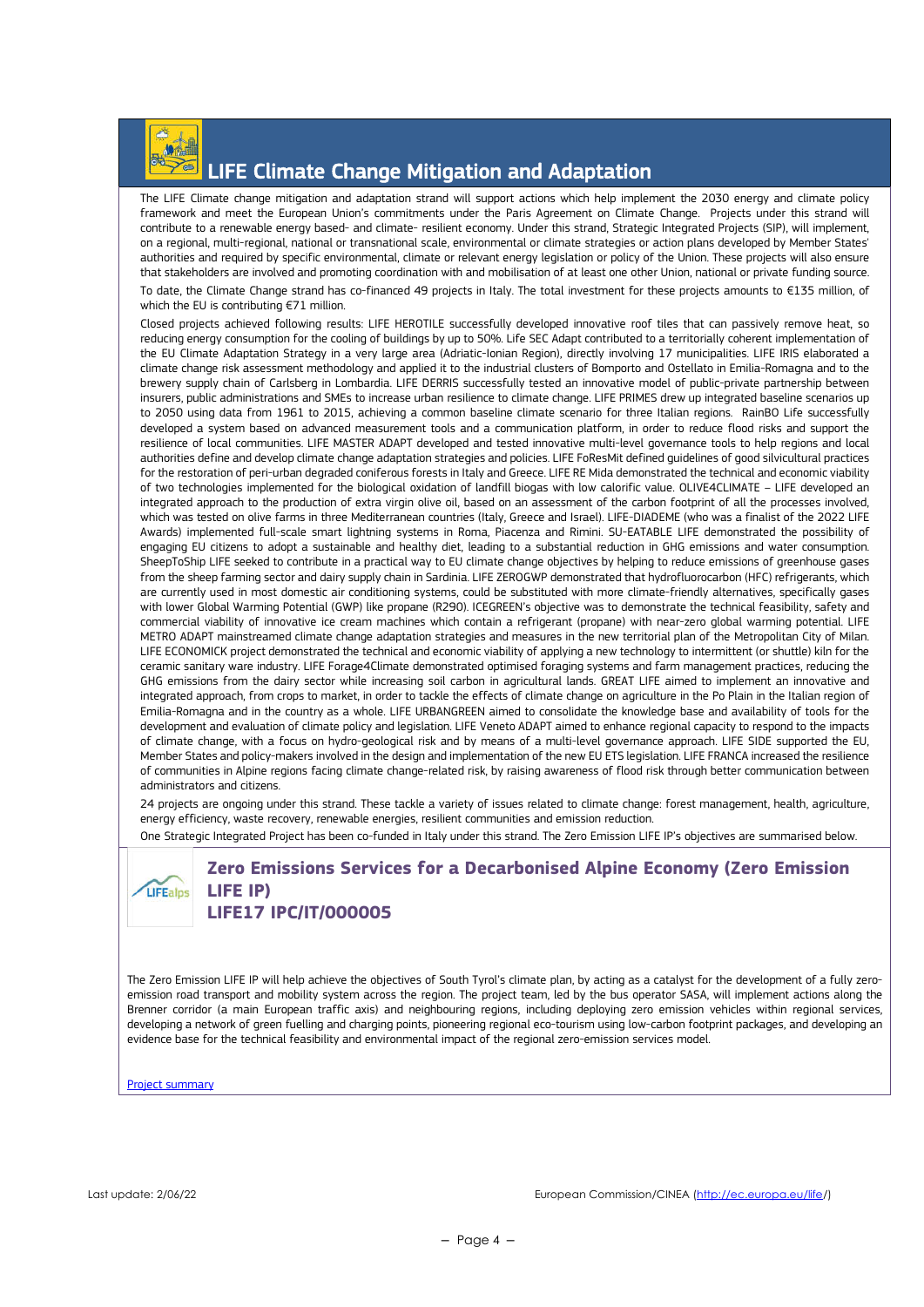

## LIFE Climate Change Mitigation and Adaptation

The LIFE Climate change mitigation and adaptation strand will support actions which help implement the 2030 energy and climate policy framework and meet the European Union's commitments under the Paris Agreement on Climate Change. Projects under this strand will contribute to a renewable energy based- and climate- resilient economy. Under this strand, Strategic Integrated Projects (SIP), will implement, on a regional, multi-regional, national or transnational scale, environmental or climate strategies or action plans developed by Member States' authorities and required by specific environmental, climate or relevant energy legislation or policy of the Union. These projects will also ensure that stakeholders are involved and promoting coordination with and mobilisation of at least one other Union, national or private funding source. To date, the Climate Change strand has co-financed 49 projects in Italy. The total investment for these projects amounts to €135 million, of which the EU is contributing €71 million.

Closed projects achieved following results: LIFE HEROTILE successfully developed innovative roof tiles that can passively remove heat, so reducing energy consumption for the cooling of buildings by up to 50%. Life SEC Adapt contributed to a territorially coherent implementation of the EU Climate Adaptation Strategy in a very large area (Adriatic-Ionian Region), directly involving 17 municipalities. LIFE IRIS elaborated a climate change risk assessment methodology and applied it to the industrial clusters of Bomporto and Ostellato in Emilia-Romagna and to the brewery supply chain of Carlsberg in Lombardia. LIFE DERRIS successfully tested an innovative model of public-private partnership between insurers, public administrations and SMEs to increase urban resilience to climate change. LIFE PRIMES drew up integrated baseline scenarios up to 2050 using data from 1961 to 2015, achieving a common baseline climate scenario for three Italian regions. RainBO Life successfully developed a system based on advanced measurement tools and a communication platform, in order to reduce flood risks and support the resilience of local communities. LIFE MASTER ADAPT developed and tested innovative multi-level governance tools to help regions and local authorities define and develop climate change adaptation strategies and policies. LIFE FoResMit defined guidelines of good silvicultural practices for the restoration of peri-urban degraded coniferous forests in Italy and Greece. LIFE RE Mida demonstrated the technical and economic viability of two technologies implemented for the biological oxidation of landfill biogas with low calorific value. OLIVE4CLIMATE – LIFE developed an integrated approach to the production of extra virgin olive oil, based on an assessment of the carbon footprint of all the processes involved which was tested on olive farms in three Mediterranean countries (Italy, Greece and Israel). LIFE-DIADEME (who was a finalist of the 2022 LIFE Awards) implemented full-scale smart lightning systems in Roma, Piacenza and Rimini. SU-EATABLE LIFE demonstrated the possibility of engaging EU citizens to adopt a sustainable and healthy diet, leading to a substantial reduction in GHG emissions and water consumption. SheepToShip LIFE seeked to contribute in a practical way to EU climate change objectives by helping to reduce emissions of greenhouse gases from the sheep farming sector and dairy supply chain in Sardinia. LIFE ZEROGWP demonstrated that hydrofluorocarbon (HFC) refrigerants, which are currently used in most domestic air conditioning systems, could be substituted with more climate-friendly alternatives, specifically gases with lower Global Warming Potential (GWP) like propane (R290). ICEGREEN's objective was to demonstrate the technical feasibility, safety and commercial viability of innovative ice cream machines which contain a refrigerant (propane) with near-zero global warming potential. LIFE METRO ADAPT mainstreamed climate change adaptation strategies and measures in the new territorial plan of the Metropolitan City of Milan. LIFE ECONOMICK project demonstrated the technical and economic viability of applying a new technology to intermittent (or shuttle) kiln for the ceramic sanitary ware industry. LIFE Forage4Climate demonstrated optimised foraging systems and farm management practices, reducing the GHG emissions from the dairy sector while increasing soil carbon in agricultural lands. GREAT LIFE aimed to implement an innovative and integrated approach, from crops to market, in order to tackle the effects of climate change on agriculture in the Po Plain in the Italian region of Emilia-Romagna and in the country as a whole. LIFE URBANGREEN aimed to consolidate the knowledge base and availability of tools for the development and evaluation of climate policy and legislation. LIFE Veneto ADAPT aimed to enhance regional capacity to respond to the impacts of climate change, with a focus on hydro-geological risk and by means of a multi-level governance approach. LIFE SIDE supported the EU, Member States and policy-makers involved in the design and implementation of the new EU ETS legislation. LIFE FRANCA increased the resilience of communities in Alpine regions facing climate change-related risk, by raising awareness of flood risk through better communication between administrators and citizens.

24 projects are ongoing under this strand. These tackle a variety of issues related to climate change: forest management, health, agriculture, energy efficiency, waste recovery, renewable energies, resilient communities and emission reduction.

One Strategic Integrated Project has been co-funded in Italy under this strand. The Zero Emission LIFE IP's objectives are summarised below.

#### **Zero Emissions Services for a Decarbonised Alpine Economy (Zero Emission**  LIFEalps **LIFE IP) LIFE17 IPC/IT/000005**

The Zero Emission LIFE IP will help achieve the objectives of South Tyrol's climate plan, by acting as a catalyst for the development of a fully zeroemission road transport and mobility system across the region. The project team, led by the bus operator SASA, will implement actions along the Brenner corridor (a main European traffic axis) and neighbouring regions, including deploying zero emission vehicles within regional services, developing a network of green fuelling and charging points, pioneering regional eco-tourism using low-carbon footprint packages, and developing an evidence base for the technical feasibility and environmental impact of the regional zero-emission services model.

Project summary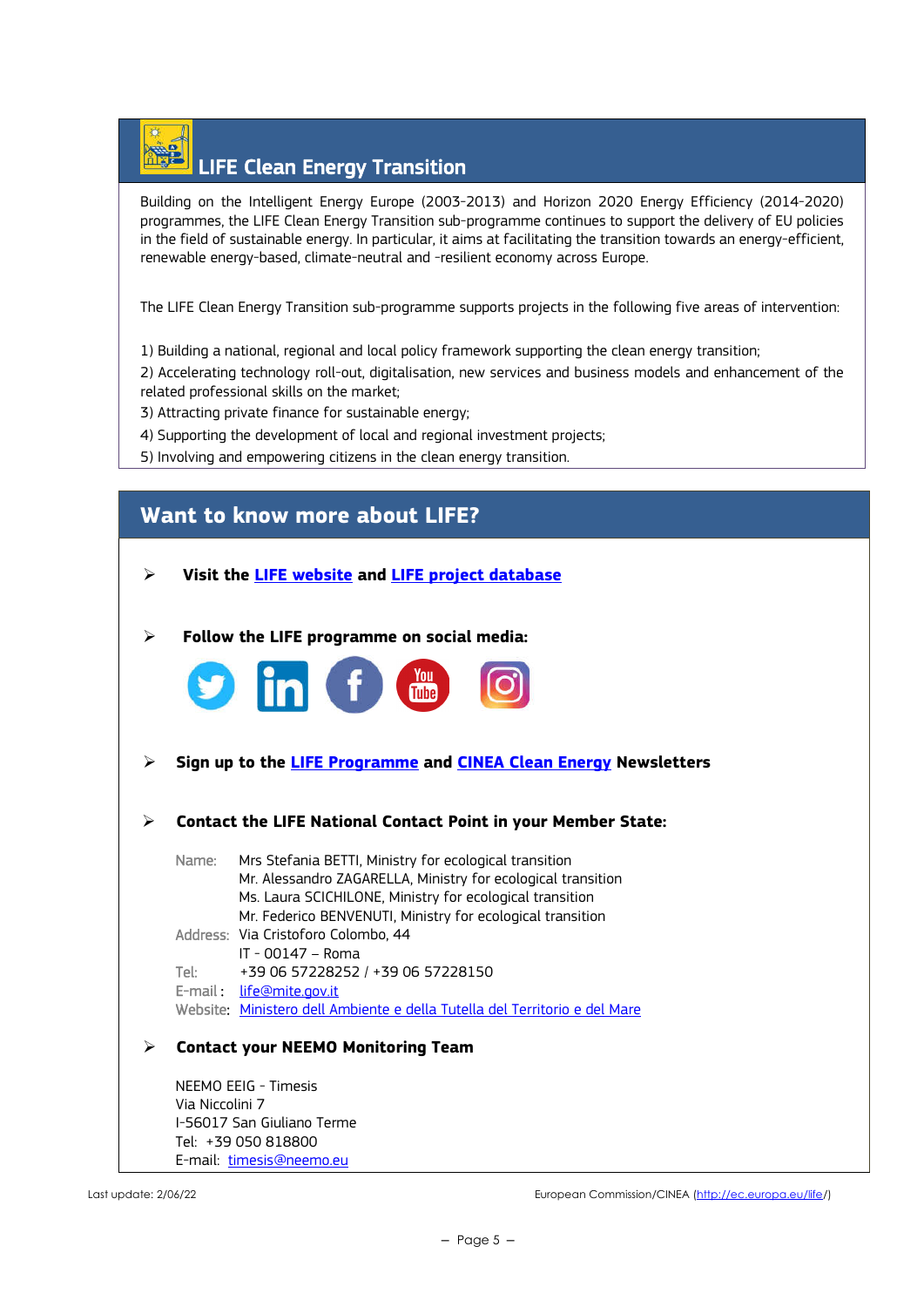# LIFE Clean Energy Transition

Building on the Intelligent Energy Europe (2003-2013) and Horizon 2020 Energy Efficiency (2014-2020) programmes, the LIFE Clean Energy Transition sub-programme continues to support the delivery of EU policies in the field of sustainable energy. In particular, it aims at facilitating the transition towards an energy-efficient, renewable energy-based, climate-neutral and -resilient economy across Europe.

The LIFE Clean Energy Transition sub-programme supports projects in the following five areas of intervention:

1) Building a national, regional and local policy framework supporting the clean energy transition;

2) Accelerating technology roll-out, digitalisation, new services and business models and enhancement of the related professional skills on the market;

- 3) Attracting private finance for sustainable energy;
- 4) Supporting the development of local and regional investment projects;
- 5) Involving and empowering citizens in the clean energy transition.

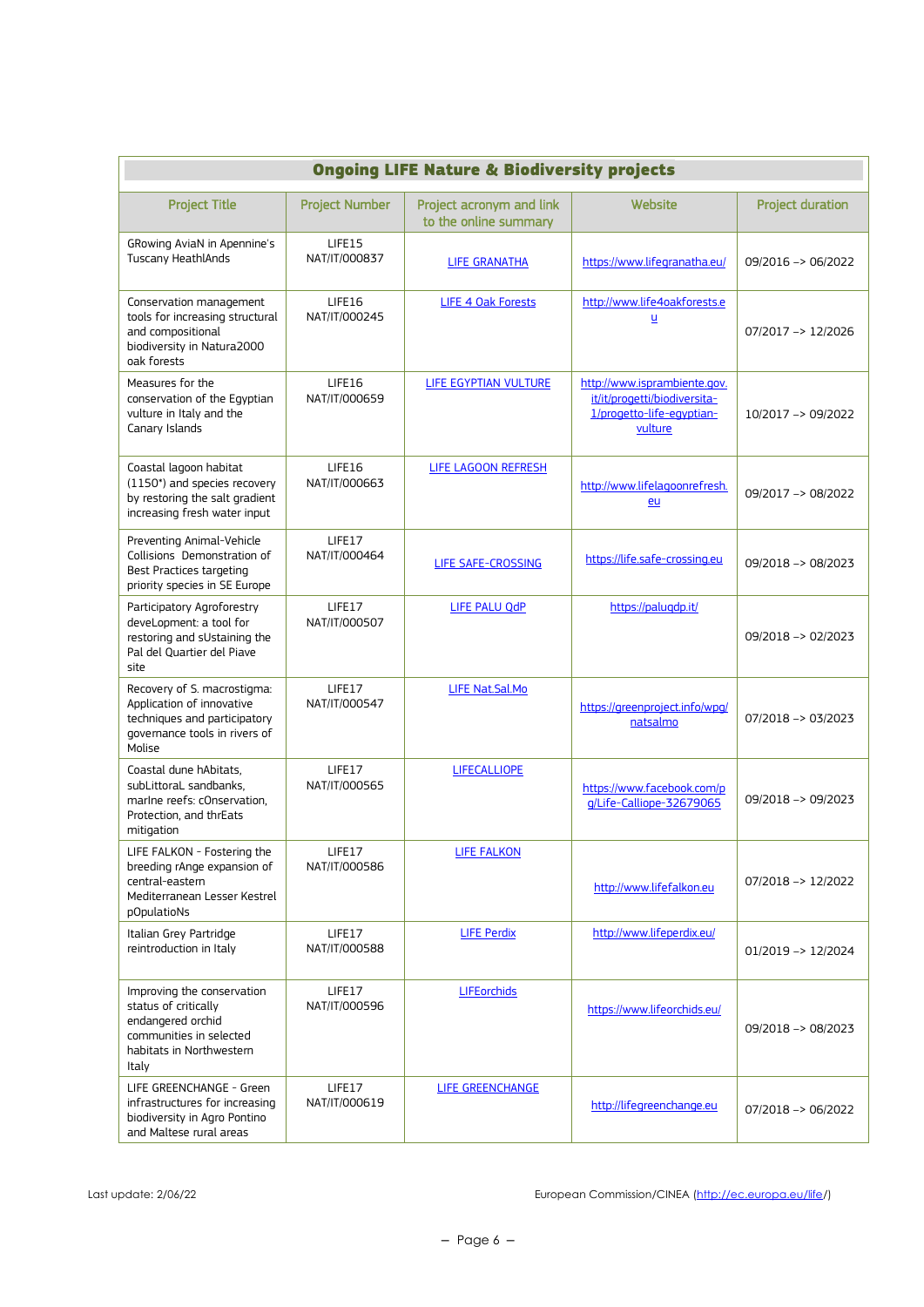|                                                                                                                                         | <b>Ongoing LIFE Nature &amp; Biodiversity projects</b> |                                                   |                                                                                                      |                         |  |  |
|-----------------------------------------------------------------------------------------------------------------------------------------|--------------------------------------------------------|---------------------------------------------------|------------------------------------------------------------------------------------------------------|-------------------------|--|--|
| <b>Project Title</b>                                                                                                                    | <b>Project Number</b>                                  | Project acronym and link<br>to the online summary | Website                                                                                              | <b>Project duration</b> |  |  |
| GRowing AviaN in Apennine's<br><b>Tuscany HeathlAnds</b>                                                                                | LIFE15<br>NAT/IT/000837                                | <b>LIFE GRANATHA</b>                              | https://www.lifegranatha.eu/                                                                         | 09/2016 -> 06/2022      |  |  |
| Conservation management<br>tools for increasing structural<br>and compositional<br>biodiversity in Natura2000<br>oak forests            | LIFE16<br>NAT/IT/000245                                | LIFE 4 Oak Forests                                | http://www.life4oakforests.e<br>Ц                                                                    | 07/2017 -> 12/2026      |  |  |
| Measures for the<br>conservation of the Eqyptian<br>vulture in Italy and the<br>Canary Islands                                          | LIFE16<br>NAT/IT/000659                                | LIFE EGYPTIAN VULTURE                             | http://www.isprambiente.gov.<br>it/it/progetti/biodiversita-<br>1/progetto-life-egyptian-<br>vulture | 10/2017 -> 09/2022      |  |  |
| Coastal lagoon habitat<br>(1150*) and species recovery<br>by restoring the salt gradient<br>increasing fresh water input                | LIFE16<br>NAT/IT/000663                                | LIFE LAGOON REFRESH                               | http://www.lifelagoonrefresh.<br>eu                                                                  | 09/2017 -> 08/2022      |  |  |
| Preventing Animal-Vehicle<br>Collisions Demonstration of<br><b>Best Practices targeting</b><br>priority species in SE Europe            | LIFE17<br>NAT/IT/000464                                | LIFE SAFE-CROSSING                                | https://life.safe-crossing.eu                                                                        | 09/2018 -> 08/2023      |  |  |
| Participatory Agroforestry<br>deveLopment: a tool for<br>restoring and sUstaining the<br>Pal del Quartier del Piave<br>site             | LIFE17<br>NAT/IT/000507                                | LIFE PALU QdP                                     | https://paluqdp.it/                                                                                  | 09/2018 -> 02/2023      |  |  |
| Recovery of S. macrostigma:<br>Application of innovative<br>techniques and participatory<br>governance tools in rivers of<br>Molise     | LIFE17<br>NAT/IT/000547                                | LIFE Nat.Sal.Mo                                   | https://greenproject.info/wpg/<br>natsalmo                                                           | 07/2018 -> 03/2023      |  |  |
| Coastal dune hAbitats.<br>subLittoraL sandbanks.<br>marine reefs: cOnservation,<br>Protection, and thrEats<br>mitigation                | LIFE17<br>NAT/IT/000565                                | <b>LIFECALLIOPE</b>                               | https://www.facebook.com/p<br>g/Life-Calliope-32679065                                               | 09/2018 -> 09/2023      |  |  |
| LIFE FALKON - Fostering the<br>breeding rAnge expansion of<br>central-eastern<br>Mediterranean Lesser Kestrel<br>pOpulatioNs            | LIFE17<br>NAT/IT/000586                                | <b>LIFE FALKON</b>                                | http://www.lifefalkon.eu                                                                             | 07/2018 -> 12/2022      |  |  |
| Italian Grey Partridge<br>reintroduction in Italy                                                                                       | LIFE17<br>NAT/IT/000588                                | <b>LIFE Perdix</b>                                | http://www.lifeperdix.eu/                                                                            | 01/2019 -> 12/2024      |  |  |
| Improving the conservation<br>status of critically<br>endangered orchid<br>communities in selected<br>habitats in Northwestern<br>Italy | LIFE17<br>NAT/IT/000596                                | <b>LIFEorchids</b>                                | https://www.lifeorchids.eu/                                                                          | 09/2018 -> 08/2023      |  |  |
| LIFE GREENCHANGE - Green<br>infrastructures for increasing<br>biodiversity in Agro Pontino<br>and Maltese rural areas                   | LIFE17<br>NAT/IT/000619                                | LIFE GREENCHANGE                                  | http://lifegreenchange.eu                                                                            | 07/2018 -> 06/2022      |  |  |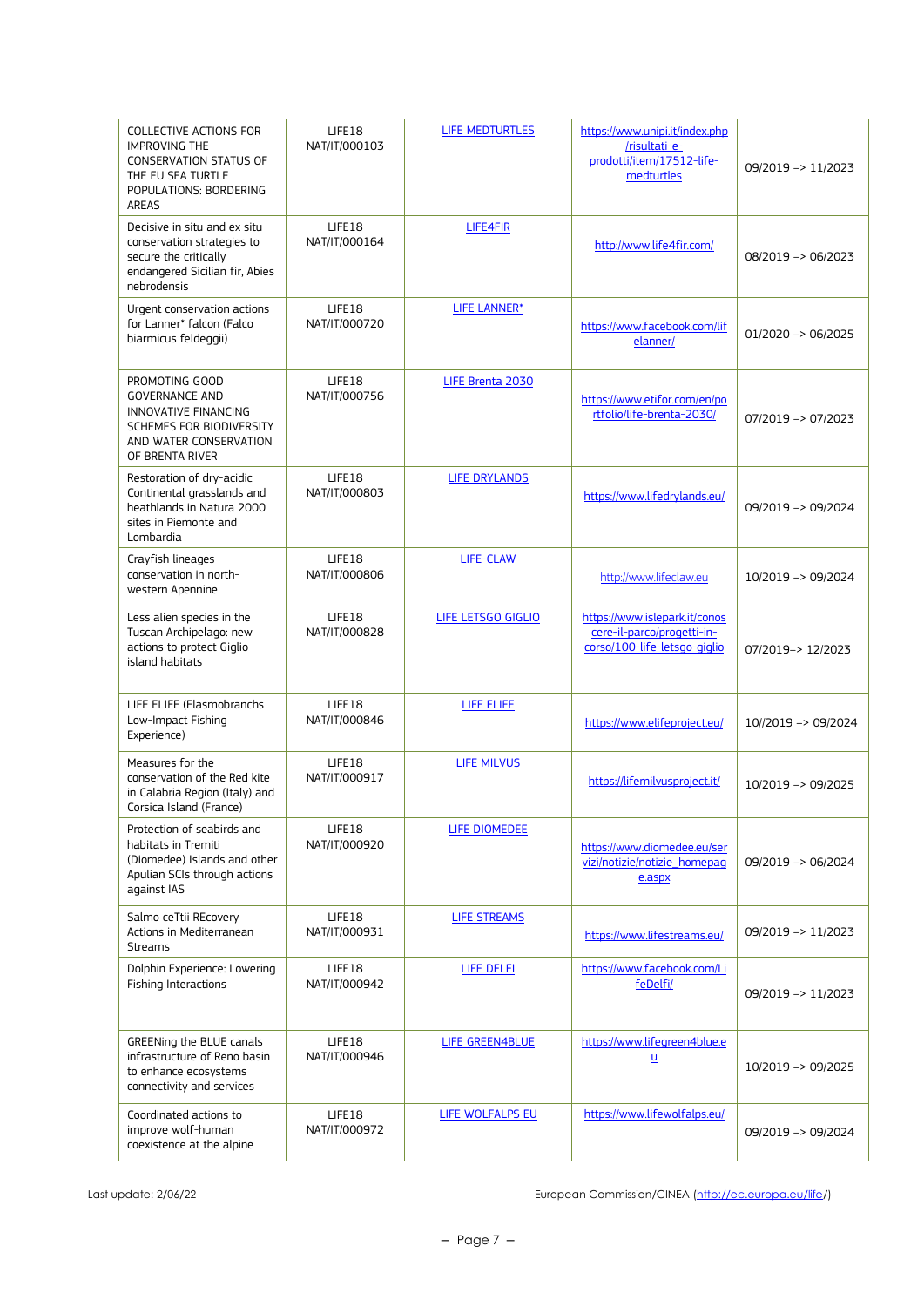| COLLECTIVE ACTIONS FOR<br><b>IMPROVING THE</b><br><b>CONSERVATION STATUS OF</b><br>THE EU SEA TURTLE<br>POPULATIONS: BORDERING<br>AREAS  | LIFE18<br>NAT/IT/000103 | LIFE MEDTURTLES      | https://www.unipi.it/index.php<br>/risultati-e-<br>prodotti/item/17512-life-<br>medturtles  | 09/2019 -> 11/2023            |
|------------------------------------------------------------------------------------------------------------------------------------------|-------------------------|----------------------|---------------------------------------------------------------------------------------------|-------------------------------|
| Decisive in situ and ex situ<br>conservation strategies to<br>secure the critically<br>endangered Sicilian fir, Abies<br>nebrodensis     | LIFE18<br>NAT/IT/000164 | LIFE4FIR             | http://www.life4fir.com/                                                                    | 08/2019 -> 06/2023            |
| Urgent conservation actions<br>for Lanner* falcon (Falco<br>biarmicus feldeggii)                                                         | LIFE18<br>NAT/IT/000720 | <b>LIFE LANNER*</b>  | https://www.facebook.com/lif<br>elanner/                                                    | $01/2020 \rightarrow 06/2025$ |
| PROMOTING GOOD<br><b>GOVERNANCE AND</b><br>INNOVATIVE FINANCING<br>SCHEMES FOR BIODIVERSITY<br>AND WATER CONSERVATION<br>OF BRENTA RIVER | LIFE18<br>NAT/IT/000756 | LIFE Brenta 2030     | https://www.etifor.com/en/po<br>rtfolio/life-brenta-2030/                                   | 07/2019 -> 07/2023            |
| Restoration of dry-acidic<br>Continental grasslands and<br>heathlands in Natura 2000<br>sites in Piemonte and<br>Lombardia               | LIFE18<br>NAT/IT/000803 | <b>LIFE DRYLANDS</b> | https://www.lifedrylands.eu/                                                                | 09/2019 -> 09/2024            |
| Crayfish lineages<br>conservation in north-<br>western Apennine                                                                          | LIFE18<br>NAT/IT/000806 | LIFE-CLAW            | http://www.lifeclaw.eu                                                                      | 10/2019 -> 09/2024            |
| Less alien species in the<br>Tuscan Archipelago: new<br>actions to protect Giglio<br>island habitats                                     | LIFE18<br>NAT/IT/000828 | LIFE LETSGO GIGLIO   | https://www.islepark.it/conos<br>cere-il-parco/progetti-in-<br>corso/100-life-letsgo-giglio | 07/2019 -> 12/2023            |
| LIFE ELIFE (Elasmobranchs<br>Low-Impact Fishing<br>Experience)                                                                           | LIFE18<br>NAT/IT/000846 | LIFE ELIFE           | https://www.elifeproject.eu/                                                                | 10//2019 -> 09/2024           |
| Measures for the<br>conservation of the Red kite<br>in Calabria Region (Italy) and<br>Corsica Island (France)                            | LIFE18<br>NAT/IT/000917 | <b>LIFE MILVUS</b>   | https://lifemilvusproject.it/                                                               | 10/2019 -> 09/2025            |
| Protection of seabirds and<br>habitats in Tremiti<br>(Diomedee) Islands and other<br>Apulian SCIs through actions<br>against IAS         | LIFE18<br>NAT/IT/000920 | LIFE DIOMEDEE        | https://www.diomedee.eu/ser<br>vizi/notizie/notizie_homepaq<br>e.aspx                       | 09/2019 -> 06/2024            |
| Salmo ceTtii REcovery<br>Actions in Mediterranean<br>Streams                                                                             | LIFE18<br>NAT/IT/000931 | <b>LIFE STREAMS</b>  | https://www.lifestreams.eu/                                                                 | 09/2019 -> 11/2023            |
| Dolphin Experience: Lowering<br><b>Fishing Interactions</b>                                                                              | LIFE18<br>NAT/IT/000942 | LIFE DELFI           | https://www.facebook.com/Li<br>feDelfi/                                                     | 09/2019 -> 11/2023            |
| GREENing the BLUE canals<br>infrastructure of Reno basin<br>to enhance ecosystems<br>connectivity and services                           | LIFE18<br>NAT/IT/000946 | LIFE GREEN4BLUE      | https://www.lifegreen4blue.e<br>$\underline{\mathsf{u}}$                                    | 10/2019 -> 09/2025            |
| Coordinated actions to<br>improve wolf-human<br>coexistence at the alpine                                                                | LIFE18<br>NAT/IT/000972 | LIFE WOLFALPS EU     | https://www.lifewolfalps.eu/                                                                | 09/2019 -> 09/2024            |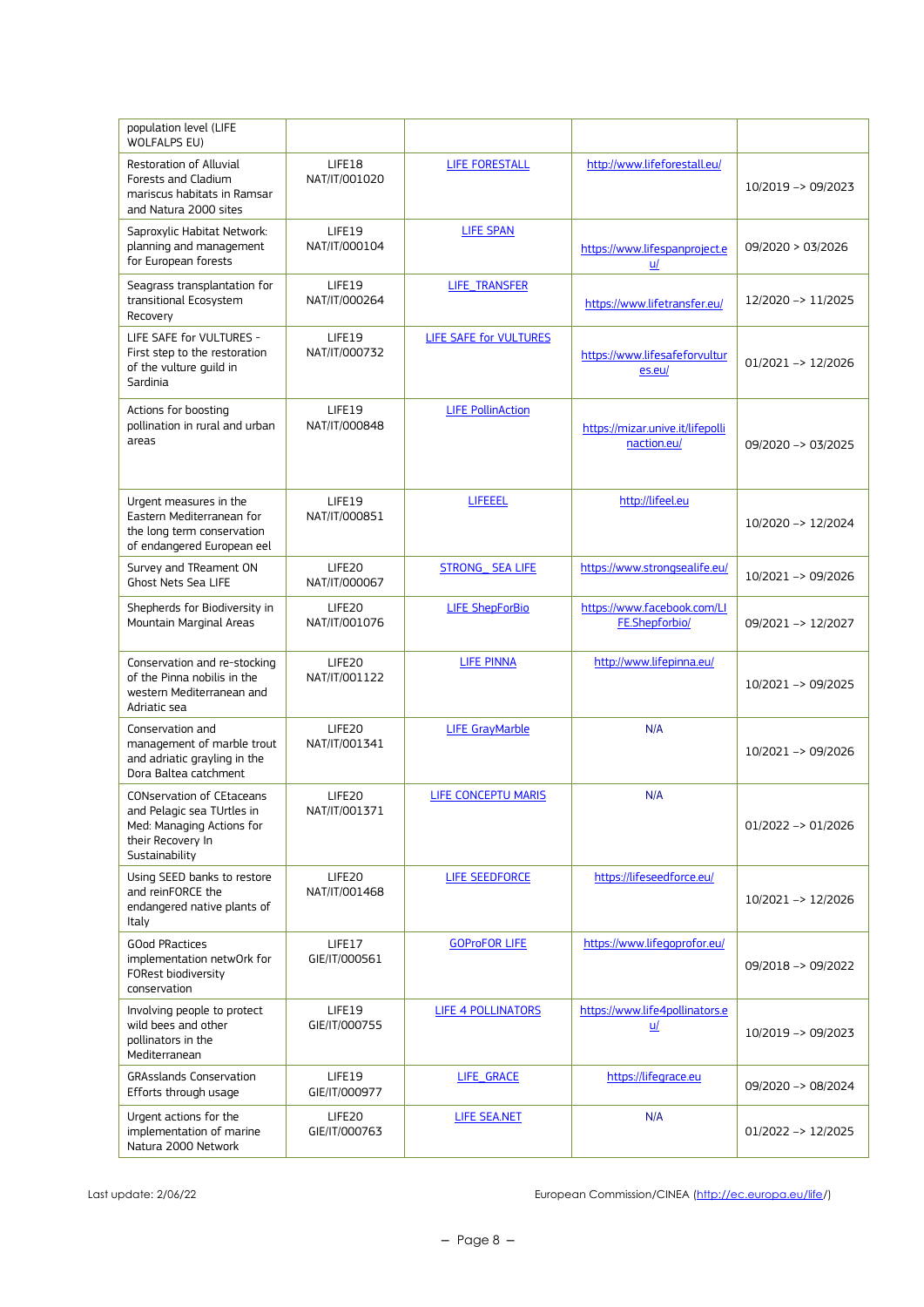| population level (LIFE<br>WOLFALPS EU)                                                                                             |                                     |                          |                                                 |                               |
|------------------------------------------------------------------------------------------------------------------------------------|-------------------------------------|--------------------------|-------------------------------------------------|-------------------------------|
| Restoration of Alluvial<br>Forests and Cladium<br>mariscus habitats in Ramsar<br>and Natura 2000 sites                             | LIFE18<br>NAT/IT/001020             | <b>LIFE FORESTALL</b>    | http://www.lifeforestall.eu/                    | 10/2019 -> 09/2023            |
| Saproxylic Habitat Network:<br>planning and management<br>for European forests                                                     | LIFE19<br>NAT/IT/000104             | <b>LIFE SPAN</b>         | https://www.lifespanproject.e<br>u/             | 09/2020 > 03/2026             |
| Seagrass transplantation for<br>transitional Ecosystem<br>Recovery                                                                 | LIFE19<br>NAT/IT/000264             | LIFE_TRANSFER            | https://www.lifetransfer.eu/                    | 12/2020 -> 11/2025            |
| LIFE SAFE for VULTURES -<br>First step to the restoration<br>of the vulture quild in<br>Sardinia                                   | LIFE19<br>NAT/IT/000732             | LIFE SAFE for VULTURES   | https://www.lifesafeforvultur<br>es.eu/         | 01/2021 -> 12/2026            |
| Actions for boosting<br>pollination in rural and urban<br>areas                                                                    | LIFE19<br>NAT/IT/000848             | <b>LIFE PollinAction</b> | https://mizar.unive.it/lifepolli<br>naction.eu/ | $09/2020 \rightarrow 03/2025$ |
| Urgent measures in the<br>Eastern Mediterranean for<br>the long term conservation<br>of endangered European eel                    | LIFE19<br>NAT/IT/000851             | LIFEEEL                  | http://lifeel.eu                                | 10/2020 -> 12/2024            |
| Survey and TReament ON<br>Ghost Nets Sea LIFE                                                                                      | LIFE20<br>NAT/IT/000067             | <b>STRONG_ SEA LIFE</b>  | https://www.strongsealife.eu/                   | 10/2021 -> 09/2026            |
| Shepherds for Biodiversity in<br>Mountain Marginal Areas                                                                           | LIFE <sub>20</sub><br>NAT/IT/001076 | <b>LIFE ShepForBio</b>   | https://www.facebook.com/Ll<br>FE.Shepforbio/   | 09/2021 -> 12/2027            |
| Conservation and re-stocking<br>of the Pinna nobilis in the<br>western Mediterranean and<br>Adriatic sea                           | LIFE20<br>NAT/IT/001122             | <b>LIFE PINNA</b>        | http://www.lifepinna.eu/                        | 10/2021 -> 09/2025            |
| Conservation and<br>management of marble trout<br>and adriatic grayling in the<br>Dora Baltea catchment                            | LIFE20<br>NAT/IT/001341             | <b>LIFE GrayMarble</b>   | N/A                                             | 10/2021 -> 09/2026            |
| <b>CONservation of CEtaceans</b><br>and Pelagic sea TUrtles in<br>Med: Managing Actions for<br>their Recovery In<br>Sustainability | LIFE20<br>NAT/IT/001371             | LIFE CONCEPTU MARIS      | N/A                                             | $01/2022 \rightarrow 01/2026$ |
| Using SEED banks to restore<br>and reinFORCE the<br>endangered native plants of<br>Italy                                           | LIFE20<br>NAT/IT/001468             | <b>LIFE SEEDFORCE</b>    | https://lifeseedforce.eu/                       | 10/2021 -> 12/2026            |
| <b>GOod PRactices</b><br>implementation netwOrk for<br>FORest biodiversity<br>conservation                                         | LIFE17<br>GIE/IT/000561             | <b>GOProFOR LIFE</b>     | https://www.lifegoprofor.eu/                    | 09/2018 -> 09/2022            |
| Involving people to protect<br>wild bees and other<br>pollinators in the<br>Mediterranean                                          | LIFE19<br>GIE/IT/000755             | LIFE 4 POLLINATORS       | https://www.life4pollinators.e<br>u/            | 10/2019 -> 09/2023            |
| <b>GRAsslands Conservation</b><br>Efforts through usage                                                                            | LIFE19<br>GIE/IT/000977             | LIFE_GRACE               | https://lifegrace.eu                            | 09/2020 -> 08/2024            |
| Urgent actions for the<br>implementation of marine<br>Natura 2000 Network                                                          | LIFE20<br>GIE/IT/000763             | LIFE SEA.NET             | N/A                                             | $01/2022 \rightarrow 12/2025$ |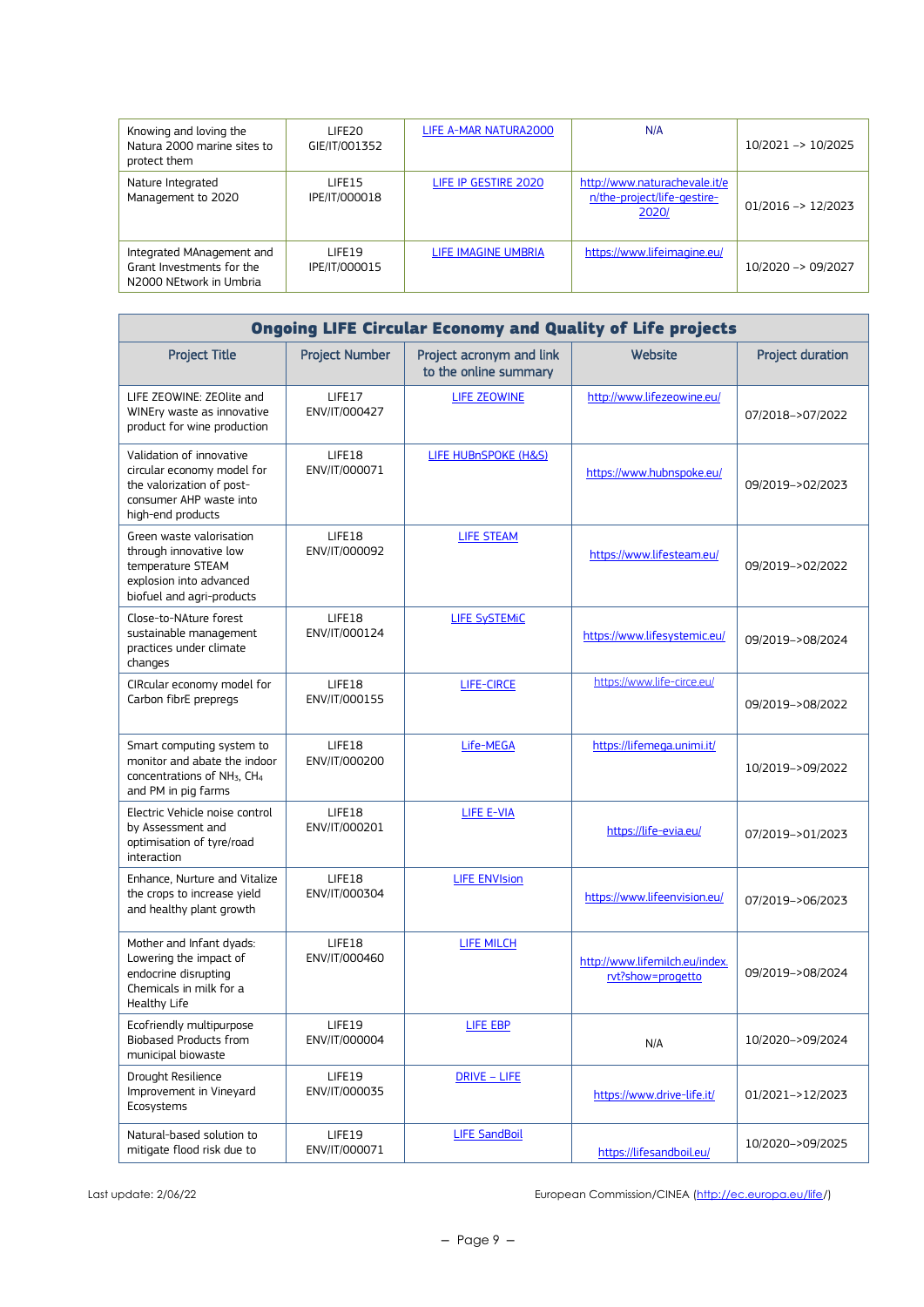| Knowing and loving the<br>Natura 2000 marine sites to<br>protect them             | LIFE <sub>20</sub><br>GIE/IT/001352 | LIFE A-MAR NATURA2000 | N/A                                                                   | 10/2021 -> 10/2025            |
|-----------------------------------------------------------------------------------|-------------------------------------|-----------------------|-----------------------------------------------------------------------|-------------------------------|
| Nature Integrated<br>Management to 2020                                           | LIFF <sub>15</sub><br>IPE/IT/000018 | LIFE IP GESTIRE 2020  | http://www.naturachevale.it/e<br>n/the-project/life-gestire-<br>2020/ | $01/2016 \rightarrow 12/2023$ |
| Integrated MAnagement and<br>Grant Investments for the<br>N2000 NEtwork in Umbria | <b>I IFF19</b><br>IPE/IT/000015     | LIFE IMAGINE UMBRIA   | https://www.lifeimagine.eu/                                           | 10/2020 -> 09/2027            |

| <b>Ongoing LIFE Circular Economy and Quality of Life projects</b>                                                                       |                         |                                                   |                                                     |                         |  |
|-----------------------------------------------------------------------------------------------------------------------------------------|-------------------------|---------------------------------------------------|-----------------------------------------------------|-------------------------|--|
| <b>Project Title</b>                                                                                                                    | <b>Project Number</b>   | Project acronym and link<br>to the online summary | Website                                             | <b>Project duration</b> |  |
| LIFE ZEOWINE: ZEOlite and<br>WINEry waste as innovative<br>product for wine production                                                  | LIFE17<br>ENV/IT/000427 | LIFE ZEOWINE                                      | http://www.lifezeowine.eu/                          | 07/2018->07/2022        |  |
| Validation of innovative<br>circular economy model for<br>the valorization of post-<br>consumer AHP waste into<br>high-end products     | LIFE18<br>ENV/IT/000071 | LIFE HUBnSPOKE (H&S)                              | https://www.hubnspoke.eu/                           | 09/2019->02/2023        |  |
| Green waste valorisation<br>through innovative low<br>temperature STEAM<br>explosion into advanced<br>biofuel and agri-products         | LIFE18<br>ENV/IT/000092 | <b>LIFE STEAM</b>                                 | https://www.lifesteam.eu/                           | 09/2019->02/2022        |  |
| Close-to-NAture forest<br>sustainable management<br>practices under climate<br>changes                                                  | LIFE18<br>ENV/IT/000124 | <b>LIFE SySTEMIC</b>                              | https://www.lifesystemic.eu/                        | 09/2019->08/2024        |  |
| CIRcular economy model for<br>Carbon fibrE prepregs                                                                                     | LIFE18<br>ENV/IT/000155 | <b>LIFE-CIRCE</b>                                 | https://www.life-circe.eu/                          | 09/2019->08/2022        |  |
| Smart computing system to<br>monitor and abate the indoor<br>concentrations of NH <sub>3</sub> , CH <sub>4</sub><br>and PM in pig farms | LIFE18<br>ENV/IT/000200 | Life-MEGA                                         | https://lifemega.unimi.it/                          | 10/2019->09/2022        |  |
| Electric Vehicle noise control<br>by Assessment and<br>optimisation of tyre/road<br>interaction                                         | LIFE18<br>ENV/IT/000201 | LIFE E-VIA                                        | https://life-evia.eu/                               | 07/2019->01/2023        |  |
| Enhance, Nurture and Vitalize<br>the crops to increase yield<br>and healthy plant growth                                                | LIFE18<br>ENV/IT/000304 | <b>LIFE ENVIsion</b>                              | https://www.lifeenvision.eu/                        | 07/2019->06/2023        |  |
| Mother and Infant dyads:<br>Lowering the impact of<br>endocrine disrupting<br>Chemicals in milk for a<br>Healthy Life                   | LIFE18<br>ENV/IT/000460 | <b>LIFE MILCH</b>                                 | http://www.lifemilch.eu/index.<br>rvt?show=progetto | 09/2019->08/2024        |  |
| Ecofriendly multipurpose<br><b>Biobased Products from</b><br>municipal biowaste                                                         | LIFE19<br>ENV/IT/000004 | LIFE EBP                                          | N/A                                                 | 10/2020->09/2024        |  |
| Drought Resilience<br>Improvement in Vineyard<br>Ecosystems                                                                             | LIFE19<br>ENV/IT/000035 | DRIVE - LIFE                                      | https://www.drive-life.it/                          | 01/2021->12/2023        |  |
| Natural-based solution to<br>mitigate flood risk due to                                                                                 | LIFE19<br>ENV/IT/000071 | <b>LIFE SandBoil</b>                              | https://lifesandboil.eu/                            | 10/2020->09/2025        |  |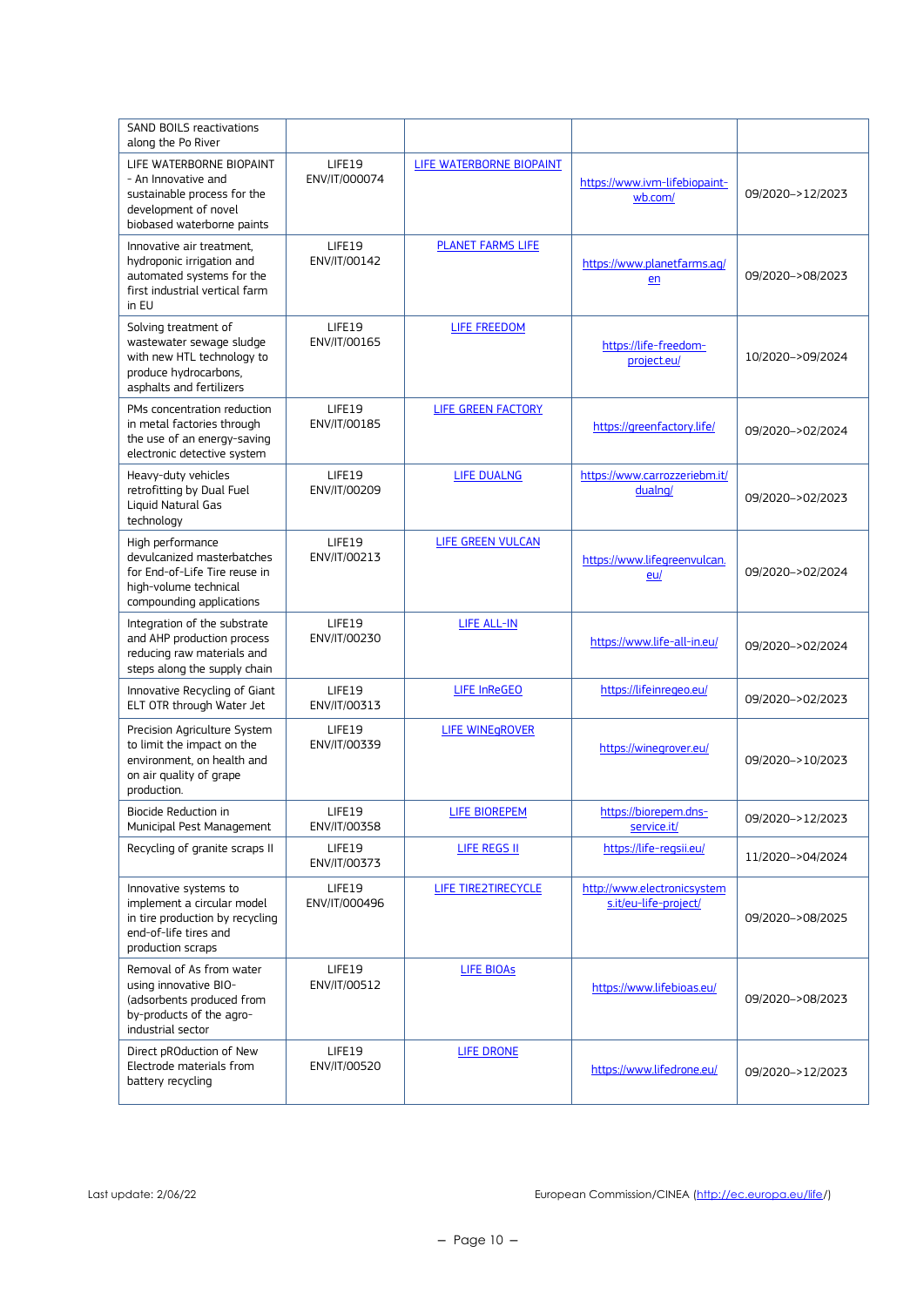| <b>SAND BOILS reactivations</b><br>along the Po River                                                                                |                         |                          |                                                      |                  |
|--------------------------------------------------------------------------------------------------------------------------------------|-------------------------|--------------------------|------------------------------------------------------|------------------|
| LIFE WATERBORNE BIOPAINT<br>- An Innovative and<br>sustainable process for the<br>development of novel<br>biobased waterborne paints | LIFE19<br>ENV/IT/000074 | LIFE WATERBORNE BIOPAINT | https://www.ivm-lifebiopaint-<br>wb.com/             | 09/2020->12/2023 |
| Innovative air treatment.<br>hydroponic irrigation and<br>automated systems for the<br>first industrial vertical farm<br>in EU       | LIFE19<br>ENV/IT/00142  | PLANET FARMS LIFE        | https://www.planetfarms.aq/<br>en                    | 09/2020->08/2023 |
| Solving treatment of<br>wastewater sewage sludge<br>with new HTL technology to<br>produce hydrocarbons,<br>asphalts and fertilizers  | LIFE19<br>ENV/IT/00165  | LIFE FREEDOM             | https://life-freedom-<br>project.eu/                 | 10/2020->09/2024 |
| PMs concentration reduction<br>in metal factories through<br>the use of an energy-saving<br>electronic detective system              | LIFE19<br>ENV/IT/00185  | LIFE GREEN FACTORY       | https://greenfactory.life/                           | 09/2020->02/2024 |
| Heavy-duty vehicles<br>retrofitting by Dual Fuel<br>Liquid Natural Gas<br>technology                                                 | LIFE19<br>ENV/IT/00209  | <b>LIFE DUALNG</b>       | https://www.carrozzeriebm.it/<br>dualng/             | 09/2020->02/2023 |
| High performance<br>devulcanized masterbatches<br>for End-of-Life Tire reuse in<br>high-volume technical<br>compounding applications | LIFE19<br>ENV/IT/00213  | <b>LIFE GREEN VULCAN</b> | https://www.lifegreenvulcan.<br>eu/                  | 09/2020->02/2024 |
| Integration of the substrate<br>and AHP production process<br>reducing raw materials and<br>steps along the supply chain             | LIFE19<br>ENV/IT/00230  | LIFE ALL-IN              | https://www.life-all-in.eu/                          | 09/2020->02/2024 |
| Innovative Recycling of Giant<br>ELT OTR through Water Jet                                                                           | LIFE19<br>ENV/IT/00313  | <b>LIFE InReGEO</b>      | https://lifeinregeo.eu/                              | 09/2020->02/2023 |
| Precision Agriculture System<br>to limit the impact on the<br>environment, on health and<br>on air quality of grape<br>production.   | LIFE19<br>ENV/IT/00339  | <b>LIFE WINEGROVER</b>   | https://winegrover.eu/                               | 09/2020->10/2023 |
| Biocide Reduction in<br>Municipal Pest Management                                                                                    | LIFE19<br>ENV/IT/00358  | <b>LIFE BIOREPEM</b>     | https://biorepem.dns-<br>service.it/                 | 09/2020->12/2023 |
| Recycling of granite scraps II                                                                                                       | LIFE19<br>ENV/IT/00373  | LIFE REGS II             | https://life-regsii.eu/                              | 11/2020->04/2024 |
| Innovative systems to<br>implement a circular model<br>in tire production by recycling<br>end-of-life tires and<br>production scraps | LIFE19<br>ENV/IT/000496 | LIFE TIRE2TIRECYCLE      | http://www.electronicsystem<br>s.it/eu-life-project/ | 09/2020->08/2025 |
| Removal of As from water<br>using innovative BIO-<br>(adsorbents produced from<br>by-products of the agro-<br>industrial sector      | LIFE19<br>ENV/IT/00512  | <b>LIFE BIOAS</b>        | https://www.lifebioas.eu/                            | 09/2020->08/2023 |
| Direct pROduction of New<br>Electrode materials from<br>battery recycling                                                            | LIFE19<br>ENV/IT/00520  | LIFE DRONE               | https://www.lifedrone.eu/                            | 09/2020->12/2023 |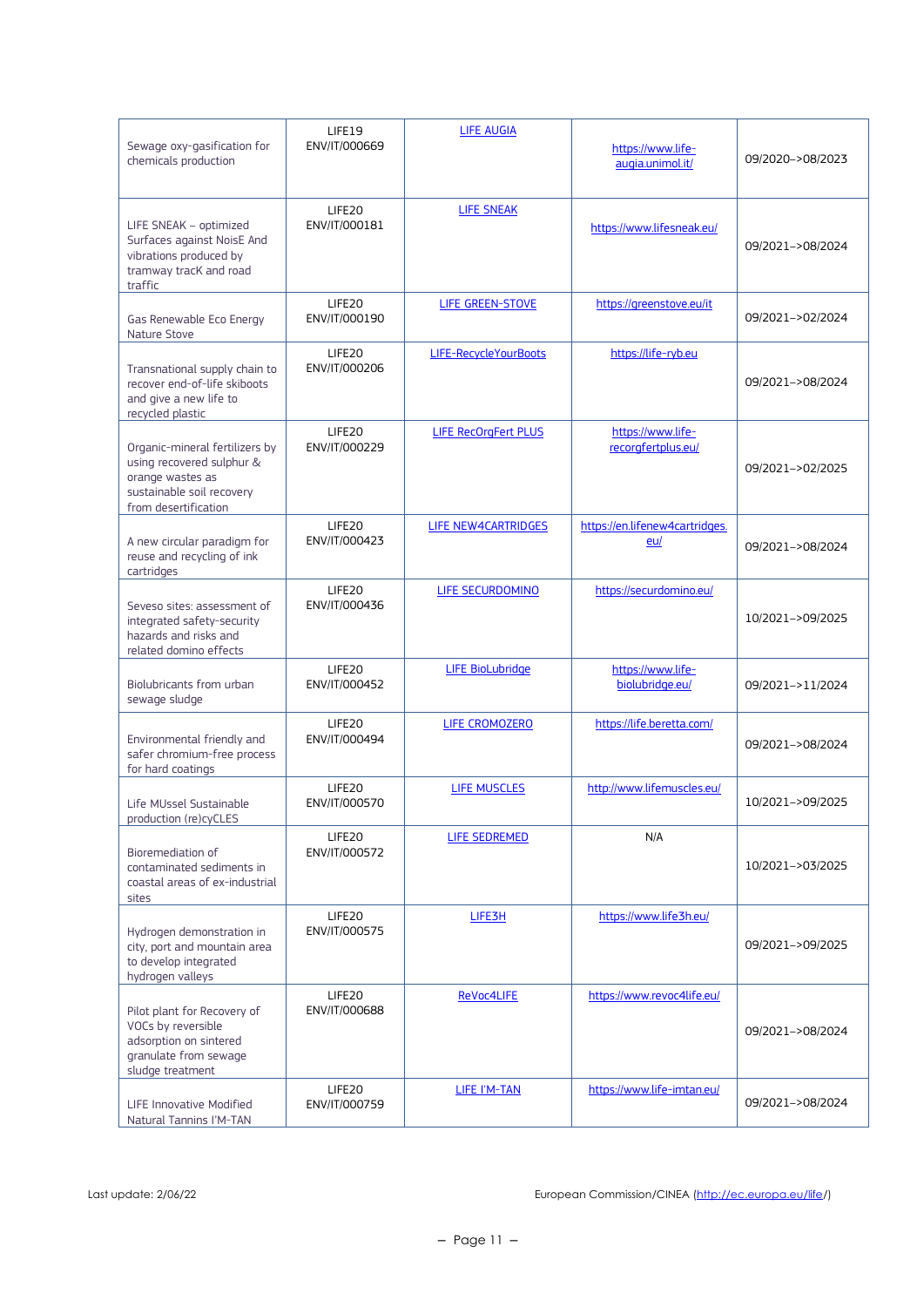| Sewage oxy-gasification for<br>chemicals production                                                                                  | LIFE19<br>ENV/IT/000669 | <b>LIFE AUGIA</b>           | https://www.life-<br>augia.unimol.it/   | 09/2020->08/2023 |
|--------------------------------------------------------------------------------------------------------------------------------------|-------------------------|-----------------------------|-----------------------------------------|------------------|
| LIFE SNEAK - optimized<br>Surfaces against NoisE And<br>vibrations produced by<br>tramway tracK and road<br>traffic                  | LIFE20<br>ENV/IT/000181 | <b>LIFE SNEAK</b>           | https://www.lifesneak.eu/               | 09/2021->08/2024 |
| Gas Renewable Eco Energy<br>Nature Stove                                                                                             | LIFE20<br>ENV/IT/000190 | LIFE GREEN-STOVE            | https://greenstove.eu/it                | 09/2021->02/2024 |
| Transnational supply chain to<br>recover end-of-life skiboots<br>and give a new life to<br>recycled plastic                          | LIFE20<br>ENV/IT/000206 | LIFE-RecycleYourBoots       | https://life-ryb.eu                     | 09/2021->08/2024 |
| Organic-mineral fertilizers by<br>using recovered sulphur &<br>orange wastes as<br>sustainable soil recovery<br>from desertification | LIFE20<br>ENV/IT/000229 | <b>LIFE RecOrgFert PLUS</b> | https://www.life-<br>recorgfertplus.eu/ | 09/2021->02/2025 |
| A new circular paradigm for<br>reuse and recycling of ink<br>cartridges                                                              | LIFE20<br>ENV/IT/000423 | LIFE NEW4CARTRIDGES         | https://en.lifenew4cartridges.<br>eu/   | 09/2021->08/2024 |
| Seveso sites: assessment of<br>integrated safety-security<br>hazards and risks and<br>related domino effects                         | LIFE20<br>ENV/IT/000436 | LIFE SECURDOMINO            | https://securdomino.eu/                 | 10/2021->09/2025 |
| Biolubricants from urban<br>sewage sludge                                                                                            | LIFE20<br>ENV/IT/000452 | <b>LIFE BioLubridge</b>     | https://www.life-<br>biolubridge.eu/    | 09/2021->11/2024 |
| Environmental friendly and<br>safer chromium-free process<br>for hard coatings                                                       | LIFE20<br>ENV/IT/000494 | LIFE CROMOZERO              | https://life.beretta.com/               | 09/2021->08/2024 |
| Life MUssel Sustainable<br>production (re)cyCLES                                                                                     | LIFE20<br>ENV/IT/000570 | <b>LIFE MUSCLES</b>         | http://www.lifemuscles.eu/              | 10/2021->09/2025 |
| Bioremediation of<br>contaminated sediments in<br>coastal areas of ex-industrial<br>sites                                            | LIFE20<br>ENV/IT/000572 | LIFE SEDREMED               | N/A                                     | 10/2021->03/2025 |
| Hydrogen demonstration in<br>city, port and mountain area<br>to develop integrated<br>hydrogen valleys                               | LIFE20<br>ENV/IT/000575 | LIFE3H                      | https://www.life3h.eu/                  | 09/2021->09/2025 |
| Pilot plant for Recovery of<br>VOCs by reversible<br>adsorption on sintered<br>granulate from sewage<br>sludge treatment             | LIFE20<br>ENV/IT/000688 | ReVoc4LIFE                  | https://www.revoc4life.eu/              | 09/2021->08/2024 |
| <b>LIFE Innovative Modified</b><br>Natural Tannins I'M-TAN                                                                           | LIFE20<br>ENV/IT/000759 | LIFE I'M-TAN                | https://www.life-imtan.eu/              | 09/2021->08/2024 |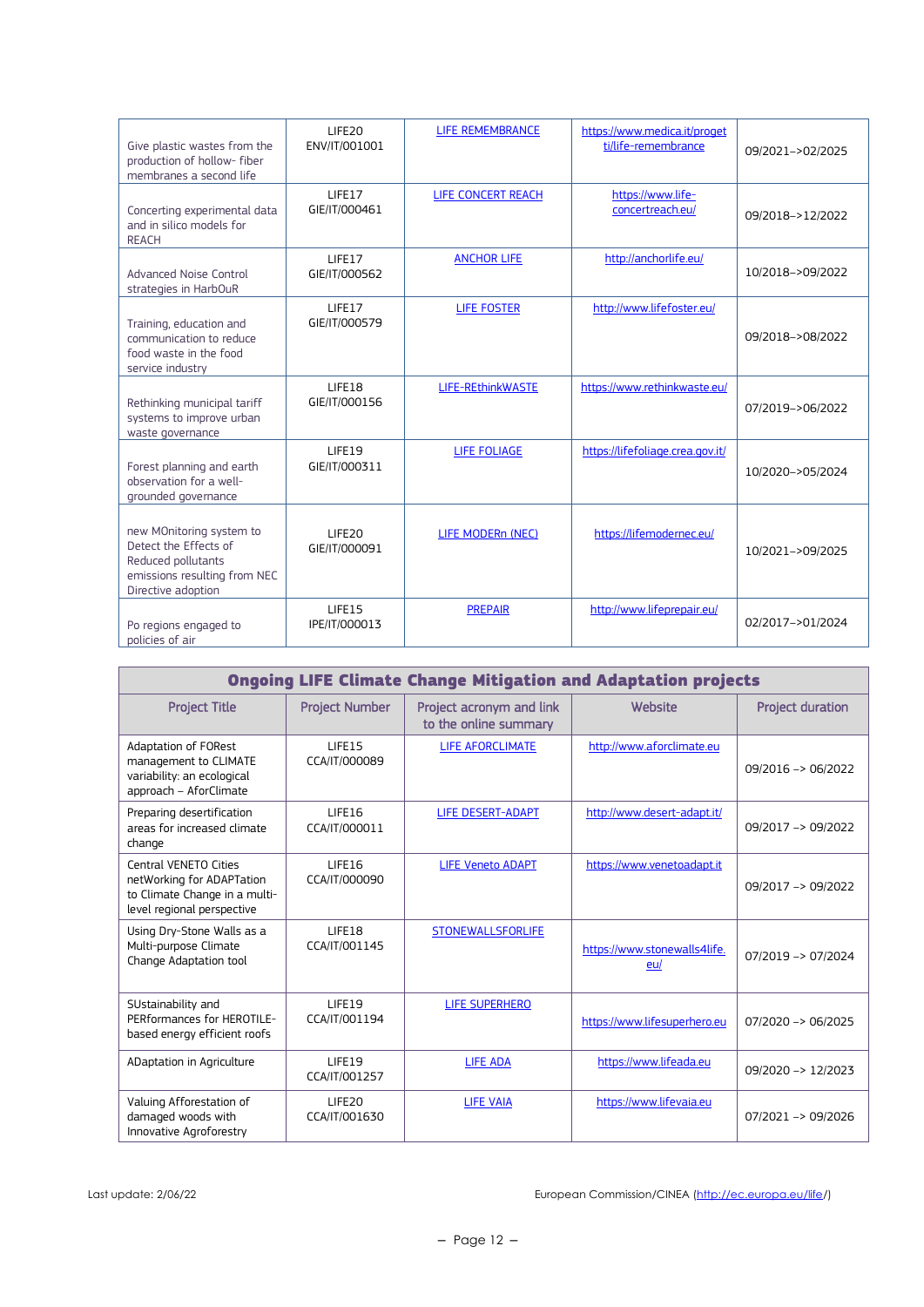| Give plastic wastes from the<br>production of hollow- fiber<br>membranes a second life                                        | LIFE20<br>ENV/IT/001001 | LIFE REMEMBRANCE   | https://www.medica.it/proget<br>ti/life-remembrance | 09/2021->02/2025 |
|-------------------------------------------------------------------------------------------------------------------------------|-------------------------|--------------------|-----------------------------------------------------|------------------|
| Concerting experimental data<br>and in silico models for<br><b>REACH</b>                                                      | LIFE17<br>GIE/IT/000461 | LIFE CONCERT REACH | https://www.life-<br>concertreach.eu/               | 09/2018->12/2022 |
| Advanced Noise Control<br>strategies in HarbOuR                                                                               | LIFE17<br>GIE/IT/000562 | <b>ANCHOR LIFE</b> | http://anchorlife.eu/                               | 10/2018->09/2022 |
| Training, education and<br>communication to reduce<br>food waste in the food<br>service industry                              | LIFE17<br>GIE/IT/000579 | <b>LIFE FOSTER</b> | http://www.lifefoster.eu/                           | 09/2018->08/2022 |
| Rethinking municipal tariff<br>systems to improve urban<br>waste governance                                                   | LIFE18<br>GIE/IT/000156 | LIFE-REthinkWASTE  | https://www.rethinkwaste.eu/                        | 07/2019->06/2022 |
| Forest planning and earth<br>observation for a well-<br>grounded governance                                                   | LIFE19<br>GIE/IT/000311 | LIFE FOLIAGE       | https://lifefoliage.crea.gov.it/                    | 10/2020->05/2024 |
| new MOnitoring system to<br>Detect the Effects of<br>Reduced pollutants<br>emissions resulting from NEC<br>Directive adoption | LIFE20<br>GIE/IT/000091 | LIFE MODERn (NEC)  | https://lifemodernec.eu/                            | 10/2021->09/2025 |
| Po regions engaged to<br>policies of air                                                                                      | LIFE15<br>IPE/IT/000013 | <b>PREPAIR</b>     | http://www.lifeprepair.eu/                          | 02/2017->01/2024 |

|                                                                                                                   | <b>Ongoing LIFE Climate Change Mitigation and Adaptation projects</b> |                                                   |                                     |                               |  |
|-------------------------------------------------------------------------------------------------------------------|-----------------------------------------------------------------------|---------------------------------------------------|-------------------------------------|-------------------------------|--|
| <b>Project Title</b>                                                                                              | <b>Project Number</b>                                                 | Project acronym and link<br>to the online summary | Website                             | <b>Project duration</b>       |  |
| Adaptation of FORest<br>management to CLIMATE<br>variability: an ecological<br>approach - AforClimate             | LIFE15<br>CCA/IT/000089                                               | <b>LIFE AFORCLIMATE</b>                           | http://www.aforclimate.eu           | 09/2016 -> 06/2022            |  |
| Preparing desertification<br>areas for increased climate<br>change                                                | LIFE16<br>CCA/IT/000011                                               | LIFE DESERT-ADAPT                                 | http://www.desert-adapt.it/         | 09/2017 -> 09/2022            |  |
| Central VENETO Cities<br>netWorking for ADAPTation<br>to Climate Change in a multi-<br>level regional perspective | LIFE16<br>CCA/IT/000090                                               | <b>LIFE Veneto ADAPT</b>                          | https://www.venetoadapt.it          | 09/2017 -> 09/2022            |  |
| Using Dry-Stone Walls as a<br>Multi-purpose Climate<br>Change Adaptation tool                                     | LIFE18<br>CCA/IT/001145                                               | <b>STONEWALLSFORLIFE</b>                          | https://www.stonewalls4life.<br>eu/ | $07/2019 - 07/2024$           |  |
| SUstainability and<br>PERformances for HEROTILE-<br>based energy efficient roofs                                  | LIFE19<br>CCA/IT/001194                                               | <b>LIFE SUPERHERO</b>                             | https://www.lifesuperhero.eu        | $07/2020 \rightarrow 06/2025$ |  |
| ADaptation in Agriculture                                                                                         | LIFE19<br>CCA/IT/001257                                               | <b>LIFE ADA</b>                                   | https://www.lifeada.eu              | $09/2020 \rightarrow 12/2023$ |  |
| Valuing Afforestation of<br>damaged woods with<br>Innovative Agroforestry                                         | LIFE <sub>20</sub><br>CCA/IT/001630                                   | <b>LIFE VAIA</b>                                  | https://www.lifevaja.eu             | $07/2021 - 99/2026$           |  |